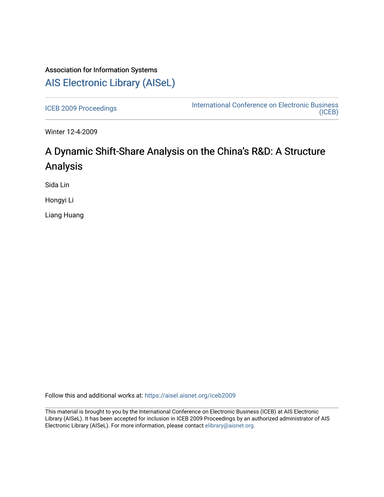## Association for Information Systems [AIS Electronic Library \(AISeL\)](https://aisel.aisnet.org/)

[ICEB 2009 Proceedings](https://aisel.aisnet.org/iceb2009) **International Conference on Electronic Business** [\(ICEB\)](https://aisel.aisnet.org/iceb) 

Winter 12-4-2009

# A Dynamic Shift-Share Analysis on the China's R&D: A Structure Analysis

Sida Lin

Hongyi Li

Liang Huang

Follow this and additional works at: [https://aisel.aisnet.org/iceb2009](https://aisel.aisnet.org/iceb2009?utm_source=aisel.aisnet.org%2Ficeb2009%2F122&utm_medium=PDF&utm_campaign=PDFCoverPages)

This material is brought to you by the International Conference on Electronic Business (ICEB) at AIS Electronic Library (AISeL). It has been accepted for inclusion in ICEB 2009 Proceedings by an authorized administrator of AIS Electronic Library (AISeL). For more information, please contact [elibrary@aisnet.org.](mailto:elibrary@aisnet.org%3E)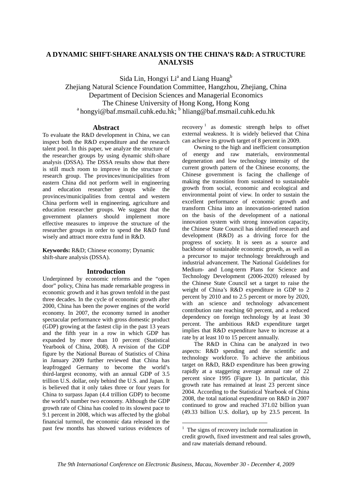## **A DYNAMIC SHIFT-SHARE ANALYSIS ON THE CHINA'S R&D: A STRUCTURE ANALYSIS**

Sida Lin, Hongyi Li<sup>a</sup> and Liang Huang<sup>b</sup> Zhejiang Natural Science Foundation Committee, Hangzhou, Zhejiang, China Department of Decision Sciences and Managerial Economics The Chinese University of Hong Kong, Hong Kong<br>
<sup>a</sup> hongyi@baf.msmail.cuhk.edu.hk; <sup>b</sup> hliang@baf.msmail.cuhk.edu.hk

## **Abstract**

To evaluate the R&D development in China, we can inspect both the R&D expenditure and the research talent pool. In this paper, we analyze the structure of the researcher groups by using dynamic shift-share analysis (DSSA). The DSSA results show that there is still much room to improve in the structure of research group. The provinces/municipalities from eastern China did not perform well in engineering and education researcher groups while the provinces/municipalities from central and western China perform well in engineering, agriculture and education researcher groups. We suggest that the government planners should implement more effective measures to improve the structure of the researcher groups in order to spend the R&D fund wisely and attract more extra fund in R&D.

**Keywords:** R&D; Chinese economy; Dynamic shift-share analysis (DSSA).

## **Introduction**

Underpinned by economic reforms and the "open door" policy, China has made remarkable progress in economic growth and it has grown tenfold in the past three decades. In the cycle of economic growth after 2000, China has been the power engines of the world economy. In 2007, the economy turned in another spectacular performance with gross domestic product (GDP) growing at the fastest clip in the past 13 years and the fifth year in a row in which GDP has expanded by more than 10 percent (Statistical Yearbook of China, 2008). A revision of the GDP figure by the National Bureau of Statistics of China in January 2009 further reviewed that China has leapfrogged Germany to become the world's third-largest economy, with an annual GDP of 3.5 trillion U.S. dollar, only behind the U.S. and Japan. It is believed that it only takes three or four years for China to surpass Japan (4.4 trillion GDP) to become the world's number two economy. Although the GDP growth rate of China has cooled to its slowest pace to 9.1 percent in 2008, which was affected by the global financial turmoil, the economic data released in the past few months has showed various evidences of

recovery  $\frac{1}{1}$  as domestic strength helps to offset external weakness. It is widely believed that China can achieve its growth target of 8 percent in 2009.

Owning to the high and inefficient consumption of energy and raw materials, environmental degeneration and low technology intensity of the current growth pattern of the Chinese economy, the Chinese government is facing the challenge of making the transition from sustained to sustainable growth from social, economic and ecological and environmental point of view. In order to sustain the excellent performance of economic growth and transform China into an innovation-oriented nation on the basis of the development of a national innovation system with strong innovation capacity, the Chinese State Council has identified research and development (R&D) as a driving force for the progress of society. It is seen as a source and backbone of sustainable economic growth, as well as a precursor to major technology breakthrough and industrial advancement. The National Guidelines for Medium- and Long-term Plans for Science and Technology Development (2006-2020) released by the Chinese State Council set a target to raise the weight of China's R&D expenditure in GDP to 2 percent by 2010 and to 2.5 percent or more by 2020, with an science and technology advancement contribution rate reaching 60 percent, and a reduced dependency on foreign technology by at least 30 percent. The ambitious R&D expenditure target implies that R&D expenditure have to increase at a rate by at least 10 to 15 percent annually.

The R&D in China can be analyzed in two aspects: R&D spending and the scientific and technology workforce. To achieve the ambitious target on R&D, R&D expenditure has been growing rapidly at a staggering average annual rate of 22 percent since 1995 (Figure 1). In particular, this growth rate has remained at least 23 percent since 2004. According to the Statistical Yearbook of China 2008, the total national expenditure on R&D in 2007 continued to grow and reached 371.02 billion yuan (49.33 billion U.S. dollar), up by 23.5 percent. In

1

<sup>&</sup>lt;sup>1</sup> The signs of recovery include normalization in credit growth, fixed investment and real sales growth, and raw materials demand rebound.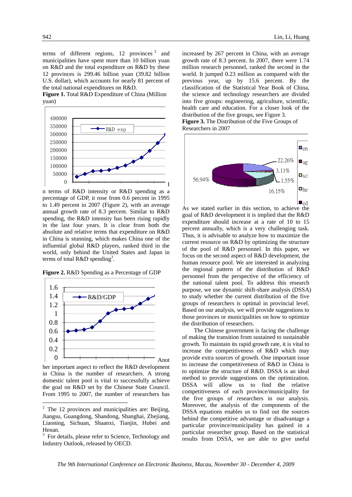terms of different regions,  $12$  provinces<sup>2</sup> and municipalities have spent more than 10 billion yuan on R&D and the total expenditure on R&D by these 12 provinces is 299.46 billion yuan (39.82 billion U.S. dollar), which accounts for nearly 81 percent of the total national expenditures on R&D.

**Figure 1.** Total R&D Expenditure of China (Million yuan)



n terms of R&D intensity or R&D spending as a percentage of GDP, it rose from 0.6 percent in 1995 to 1.49 percent in 2007 (Figure 2), with an average annual growth rate of 8.3 percent. Similar to R&D spending, the R&D intensity has been rising rapidly in the last four years. It is clear from both the absolute and relative terms that expenditure on R&D in China is stunning, which makes China one of the influential global R&D players, ranked third in the world, only behind the United States and Japan in terms of total R&D spending<sup>3</sup>.

**Figure 2.** R&D Spending as a Percentage of GDP



her important aspect to reflect the R&D development in China is the number of researchers. A strong domestic talent pool is vital to successfully achieve the goal on R&D set by the Chinese State Council. From 1995 to 2007, the number of researchers has

1

increased by 267 percent in China, with an average growth rate of 8.3 percent. In 2007, there were 1.74 million research personnel, ranked the second in the world. It jumped 0.23 million as compared with the previous year, up by 15.6 percent. By the classification of the Statistical Year Book of China, the science and technology researchers are divided into five groups: engineering, agriculture, scientific, health care and education. For a closer look of the distribution of the five groups, see Figure 3. **Figure 3.** The Distribution of the Five Groups of

Researchers in 2007



As we stated earlier in this section, to achieve the goal of R&D development it is implied that the R&D expenditure should increase at a rate of 10 to 15 percent annually, which is a very challenging task. Thus, it is advisable to analyze how to maximize the current resource on R&D by optimizing the structure of the pool of R&D personnel. In this paper, we focus on the second aspect of R&D development, the human resource pool. We are interested in analyzing the regional pattern of the distribution of R&D personnel from the perspective of the efficiency of the national talent pool. To address this research purpose, we use dynamic shift-share analysis (DSSA) to study whether the current distribution of the five groups of researchers is optimal in provincial level. Based on our analysis, we will provide suggestions to those provinces or municipalities on how to optimize the distribution of researchers.

The Chinese government is facing the challenge of making the transition from sustained to sustainable growth. To maintain its rapid growth rate, it is vital to increase the competitiveness of R&D which may provide extra sources of growth. One important issue to increase the competitiveness of R&D in China is to optimize the structure of R&D. DSSA is an ideal method to provide suggestions on the optimization. DSSA will allow us to find the relative competitiveness of each province/municipality for the five groups of researchers in our analysis. Moreover, the analysis of the components of the DSSA equations enables us to find out the sources behind the competitive advantage or disadvantage a particular province/municipality has gained in a particular researcher group. Based on the statistical results from DSSA, we are able to give useful

 $2$  The 12 provinces and municipalities are: Beijing, Jiangsu, Guangdong, Shandong, Shanghai, Zhejiang, Liaoning, Sichuan, Shaanxi, Tianjin, Hubei and Henan.

<sup>&</sup>lt;sup>3</sup> For details, please refer to Science, Technology and Industry Outlook, released by OECD.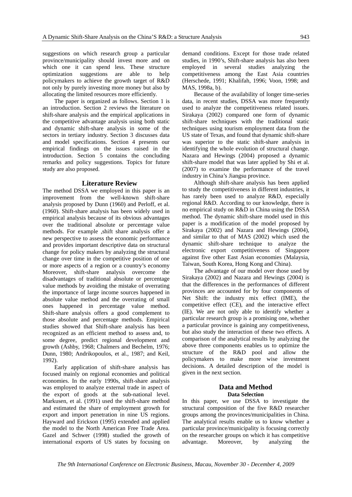suggestions on which research group a particular province/municipality should invest more and on which one it can spend less. These structure optimization suggestions are able to help policymakers to achieve the growth target of R&D not only by purely investing more money but also by allocating the limited resources more efficiently.

The paper is organized as follows. Section 1 is an introduction. Section 2 reviews the literature on shift-share analysis and the empirical applications in the competitive advantage analysis using both static and dynamic shift-share analysis in some of the sectors in tertiary industry. Section 3 discusses data and model specifications. Section 4 presents our empirical findings on the issues raised in the introduction. Section 5 contains the concluding remarks and policy suggestions. Topics for future study are also proposed.

### **Literature Review**

The method DSSA we employed in this paper is an improvement from the well-known shift-share analysis proposed by Dunn (1960) and Perloff, et al. (1960). Shift-share analysis has been widely used in empirical analysis because of its obvious advantages over the traditional absolute or percentage value methods. For example ,shift share analysis offer a new perspective to assess the economic performance and provides important descriptive data on structural change for policy makers by analyzing the structural change over time in the competitive position of one or more aspects of a region or a country's economy Moreover, shift-share analysis overcome the disadvantages of traditional absolute or percentage value methods by avoiding the mistake of overrating the importance of large income sources happened in absolute value method and the overrating of small ones happened in percentage value method. Shift-share analysis offers a good complement to those absolute and percentage methods. Empirical studies showed that Shift-share analysis has been recognized as an efficient method to assess and, to some degree, predict regional development and growth (Ashby, 1968; Chalmers and Bechelm, 1976; Dunn, 1980; Andrikopoulos, et al., 1987; and Keil, 1992).

Early application of shift-share analysis has focused mainly on regional economies and political economies. In the early 1990s, shift-share analysis was employed to analyze external trade in aspect of the export of goods at the sub-national level. Markusen, et al. (1991) used the shift-share method and estimated the share of employment growth for export and import penetration in nine US regions. Hayward and Erickson (1995) extended and applied the model to the North American Free Trade Area. Gazel and Schwer (1998) studied the growth of international exports of US states by focusing on

demand conditions. Except for those trade related studies, in 1990's, Shift-share analysis has also been employed in several studies analyzing the competitiveness among the East Asia countries (Herschede, 1991; Khalifah, 1996; Voon, 1998; and MAS, 1998a, b).

Because of the availability of longer time-series data, in recent studies, DSSA was more frequently used to analyze the competitiveness related issues. Sirakaya (2002) compared one form of dynamic shift-share techniques with the traditional static techniques using tourism employment data from the US state of Texas, and found that dynamic shift-share was superior to the static shift-share analysis in identifying the whole evolution of structural change. Nazara and Hewings (2004) proposed a dynamic shift-share model that was later applied by Shi et al. (2007) to examine the performance of the travel industry in China's Jiangsu province.

Although shift-share analysis has been applied to study the competitiveness in different industries, it has rarely been used to analyze R&D, especially regional R&D. According to our knowledge, there is no empirical study on R&D in China using the DSSA method. The dynamic shift-share model used in this paper is a modification of the model proposed by Sirakaya (2002) and Nazara and Hewings (2004), and similar to that of MAS (2002) which used the dynamic shift-share technique to analyze the electronic export competitiveness of Singapore against five other East Asian economies (Malaysia, Taiwan, South Korea, Hong Kong and China).

The advantage of our model over those used by Sirakaya (2002) and Nazara and Hewings (2004) is that the differences in the performances of different provinces are accounted for by four components of Net Shift: the industry mix effect (IME), the competitive effect (CE), and the interactive effect (IE). We are not only able to identify whether a particular research group is a promising one, whether a particular province is gaining any competitiveness, but also study the interaction of these two effects. A comparison of the analytical results by analyzing the above three components enables us to optimize the structure of the R&D pool and allow the policymakers to make more wise investment decisions. A detailed description of the model is given in the next section.

## **Data and Method Data Selection**

In this paper, we use DSSA to investigate the structural composition of the five R&D researcher groups among the provinces/municipalities in China. The analytical results enable us to know whether a particular province/municipality is focusing correctly on the researcher groups on which it has competitive advantage. Moreover, by analyzing the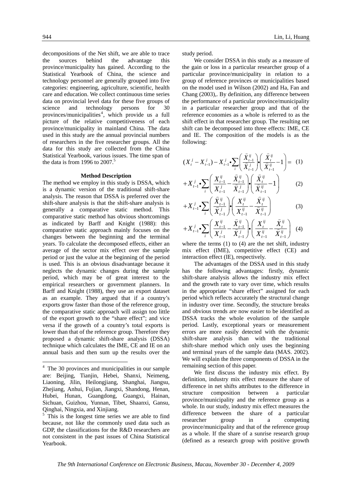decompositions of the Net shift, we are able to trace the sources behind the advantage this province/municipality has gained. According to the Statistical Yearbook of China, the science and technology personnel are generally grouped into five categories: engineering, agriculture, scientific, health care and education. We collect continuous time series data on provincial level data for these five groups of science and technology persons for 30 provinces/municipalities<sup>4</sup>, which provide us a full picture of the relative competitiveness of each province/municipality in mainland China. The data used in this study are the annual provincial numbers of researchers in the five researcher groups. All the data for this study are collected from the China Statistical Yearbook, various issues. The time span of the data is from 1996 to  $2007$ .<sup>5</sup>

#### **Method Description**

The method we employ in this study is DSSA, which is a dynamic version of the traditional shift-share analysis. The reason that DSSA is preferred over the shift-share analysis is that the shift-share analysis is generally a comparative static method. This comparative static method has obvious shortcomings as indicated by Barff and Knight (1988): this comparative static approach mainly focuses on the changes between the beginning and the terminal years. To calculate the decomposed effects, either an average of the sector mix effect over the sample period or just the value at the beginning of the period is used. This is an obvious disadvantage because it neglects the dynamic changes during the sample period, which may be of great interest to the empirical researchers or government planners. In Barff and Knight (1988), they use an export dataset as an example. They argued that if a country's exports grow faster than those of the reference group, the comparative static approach will assign too little of the export growth to the "share effect"; and vice versa if the growth of a country's total exports is lower than that of the reference group. Therefore they proposed a dynamic shift-share analysis (DSSA) technique which calculates the IME, CE and IE on an annual basis and then sum up the results over the

1

study period.

We consider DSSA in this study as a measure of the gain or loss in a particular researcher group of a particular province/municipality in relation to a group of reference provinces or municipalities based on the model used in Wilson (2002) and Ha, Fan and Chang (2003),. By definition, any difference between the performance of a particular province/municipality in a particular researcher group and that of the reference economies as a whole is referred to as the shift effect in that researcher group. The resulting net shift can be decomposed into three effects: IME, CE and IE. The composition of the models is as the following:

$$
(X_t^j - X_{t-1}^j) - X_{t-1}^j \sum_i \left( \frac{\hat{X}_{t-1}^{ij}}{\hat{X}_{t-1}^j} \right) \left( \frac{\hat{X}_t^{ij}}{\hat{X}_{t-1}^{ij}} - 1 \right) = (1)
$$

$$
+X_{t-1}^{j}\bullet\sum_{i}\left(\frac{X_{t-1}^{ij}}{X_{t-1}^{j}}-\frac{X_{t-1}^{ij}}{\hat{X}_{t-1}^{j}}\right)\bullet\left(\frac{X_{t}^{ij}}{\hat{X}_{t-1}^{ij}}-1\right) \qquad (2)
$$

$$
+X_{t-1}^{j}\bullet\sum_{i}\left(\frac{\widehat{X}_{t-1}^{ij}}{\widehat{X}_{t-1}^{j}}\right)\bullet\left(\frac{X_{t}^{ij}}{X_{t-1}^{ij}}-\frac{\widehat{X}_{t}^{ij}}{\widehat{X}_{t-1}^{ij}}\right) \tag{3}
$$

$$
+X_{t-1}^{j}\cdot\sum_{i}\left(\frac{X_{t-1}^{ij}}{X_{t-1}^{j}}-\frac{\widehat{X}_{t-1}^{ij}}{\widehat{X}_{t-1}^{j}}\right)\cdot\left(\frac{X_{t}^{ij}}{X_{t-1}^{ij}}-\frac{\widehat{X}_{t}^{ij}}{\widehat{X}_{t-1}^{ij}}\right) (4)
$$

where the terms  $(1)$  to  $(4)$  are the net shift, industry mix effect (IME), competitive effect (CE) and interaction effect (IE), respectively.

The advantages of the DSSA used in this study has the following advantages: firstly, dynamic shift-share analysis allows the industry mix effect and the growth rate to vary over time, which results in the appropriate "share effect" assigned for each period which reflects accurately the structural change in industry over time. Secondly, the structure breaks and obvious trends are now easier to be identified as DSSA tracks the whole evolution of the sample period. Lastly, exceptional years or measurement errors are more easily detected with the dynamic shift-share analysis than with the traditional shift-share method which only uses the beginning and terminal years of the sample data (MAS. 2002). We will explain the three components of DSSA in the remaining section of this paper.

 We first discuss the industry mix effect. By definition, industry mix effect measure the share of difference in net shifts attributes to the difference in structure composition between a particular province/municipality and the reference group as a whole. In our study, industry mix effect measures the difference between the share of a particular researcher group in a competing province/municipality and that of the reference group as a whole. If the share of a sunrise research group (defined as a research group with positive growth

<sup>&</sup>lt;sup>4</sup> The 30 provinces and municipalities in our sample are: Beijing, Tianjin, Hebei, Shanxi, Neimeng, Liaoning, Jilin, Heilongjiang, Shanghai, Jiangsu, Zhejiang, Anhui, Fujian, Jiangxi, Shandong, Henan, Hubei, Hunan, Guangdong, Guangxi, Hainan, Sichuan, Guizhou, Yunnan, Tibet, Shaanxi, Gansu, Qinghai, Ningxia, and Xinjiang.

<sup>&</sup>lt;sup>5</sup> This is the longest time series we are able to find because, not like the commonly used data such as GDP, the classifications for the R&D researchers are not consistent in the past issues of China Statistical Yearbook.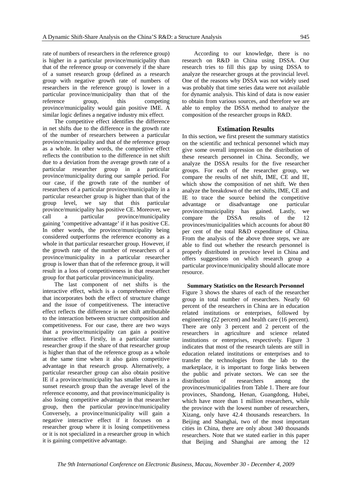rate of numbers of researchers in the reference group) is higher in a particular province/municipality than that of the reference group or conversely if the share of a sunset research group (defined as a research group with negative growth rate of numbers of researchers in the reference group) is lower in a particular province/municipality than that of the reference group, this competing province/municipality would gain positive IME. A similar logic defines a negative industry mix effect.

The competitive effect identifies the difference in net shifts due to the difference in the growth rate of the number of researchers between a particular province/municipality and that of the reference group as a whole. In other words, the competitive effect reflects the contribution to the difference in net shift due to a deviation from the average growth rate of a particular researcher group in a particular province/municipality during our sample period. For our case, if the growth rate of the number of researchers of a particular province/municipality in a particular researcher group is higher than that of the group level, we say that this particular province/municipality has positive CE. Moreover, we call a particular province/municipality gaining 'competitive advantage' if it has positive CE. In other words, the province/municipality being considered outperforms the reference economy as a whole in that particular researcher group. However, if the growth rate of the number of researchers of a province/municipality in a particular researcher group is lower than that of the reference group, it will result in a loss of competitiveness in that researcher group for that particular province/municipality.

The last component of net shifts is the interactive effect, which is a comprehensive effect that incorporates both the effect of structure change and the issue of competitiveness. The interactive effect reflects the difference in net shift attributable to the interaction between structure composition and competitiveness. For our case, there are two ways that a province/municipality can gain a positive interactive effect. Firstly, in a particular sunrise researcher group if the share of that researcher group is higher than that of the reference group as a whole at the same time when it also gains competitive advantage in that research group. Alternatively, a particular researcher group can also obtain positive IE if a province/municipality has smaller shares in a sunset research group than the average level of the reference economy, and that province/municipality is also losing competitive advantage in that researcher group, then the particular province/municipality Conversely, a province/municipality will gain a negative interactive effect if it focuses on a researcher group where it is losing competitiveness or it is not specialized in a researcher group in which it is gaining competitive advantage.

 According to our knowledge, there is no research on R&D in China using DSSA. Our research tries to fill this gap by using DSSA to analyze the researcher groups at the provincial level. One of the reasons why DSSA was not widely used was probably that time series data were not available for dynamic analysis. This kind of data is now easier to obtain from various sources, and therefore we are able to employ the DSSA method to analyze the composition of the researcher groups in R&D.

## **Estimation Results**

In this section, we first present the summary statistics on the scientific and technical personnel which may give some overall impression on the distribution of these research personnel in China. Secondly, we analyze the DSSA results for the five researcher groups. For each of the researcher group, we compare the results of net shift, IME, CE and IE, which show the composition of net shift. We then analyze the breakdown of the net shifts, IME, CE and IE to trace the source behind the competitive advantage or disadvantage one particular province/municipality has gained. Lastly, we compare the DSSA results of the 12 provinces/municipalities which accounts for about 80 per cent of the total R&D expenditure of China. From the analysis of the above three steps, we are able to find out whether the research personnel is properly distributed in province level in China and offers suggestions on which research group a particular province/municipality should allocate more resource.

## **Summary Statistics on the Research Personnel**

Figure 3 shows the shares of each of the researcher group in total number of researchers. Nearly 60 percent of the researchers in China are in education related institutions or enterprises, followed by engineering (22 percent) and health care (16 percent). There are only 3 percent and 2 percent of the researchers in agriculture and science related institutions or enterprises, respectively. Figure 3 indicates that most of the research talents are still in education related institutions or enterprises and to transfer the technologies from the lab to the marketplace, it is important to forge links between the public and private sectors. We can see the distribution of researchers among the provinces/municipalities from Table 1. There are four provinces, Shandong, Henan, Guangdong, Hubei, which have more than 1 million researchers, while the province with the lowest number of researchers, Xizang, only have 42.4 thousands researchers. In Beijing and Shanghai, two of the most important cities in China, there are only about 340 thousands researchers. Note that we stated earlier in this paper that Beijing and Shanghai are among the 12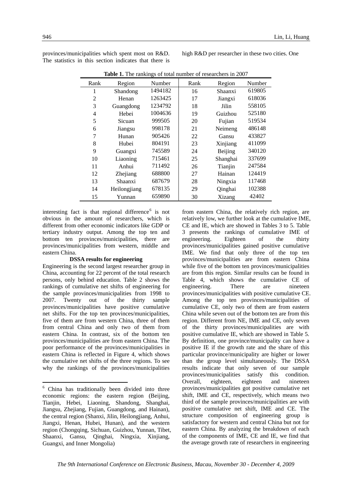|  |                              | Shaanxi, Gansu, Qinghai, Ningxia, Xinjiang, | of the components of IME, CE and IE, we find that     |
|--|------------------------------|---------------------------------------------|-------------------------------------------------------|
|  | Guangxi, and Inner Mongolia) |                                             | the average growth rate of researchers in engineering |

from eastern China, the relatively rich region, are relatively low, we further look at the cumulative IME, CE and IE, which are showed in Tables 3 to 5. Table 3 presents the rankings of cumulative IME of engineering. Eighteen of the thirty provinces/municipalities gained positive cumulative IME. We find that only three of the top ten provinces/municipalities are from eastern China while five of the bottom ten provinces/municipalities are from this region. Similar results can be found in Table 4, which shows the cumulative CE of engineering. There are nineteen provinces/municipalities with positive cumulative CE. Among the top ten provinces/municipalities of cumulative CE, only two of them are from eastern China while seven out of the bottom ten are from this region. Different from NE, IME and CE, only seven of the thirty provinces/municipalities are with positive cumulative IE, which are showed in Table 5. By definition, one province/municipality can have a positive IE if the growth rate and the share of this particular province/municipality are higher or lower than the group level simultaneously. The DSSA results indicate that only seven of our sample provinces/municipalities satisfy this condition. Overall, eighteen, eighteen and nineteen provinces/municipalities got positive cumulative net shift, IME and CE, respectively, which means two third of the sample provinces/municipalities are with positive cumulative net shift, IME and CE. The structure composition of engineering group is satisfactory for western and central China but not for eastern China. By analyzing the breakdown of each of the components of IME, CE and IE, we find that

provinces/municipalities which spent most on R&D. The statistics in this section indicates that there is

interesting fact is that regional difference<sup>6</sup> is not obvious in the amount of researchers, which is different from other economic indicators like GDP or tertiary industry output. Among the top ten and bottom ten provinces/municipalities, there are provinces/municipalities from western, middle and

**DSSA results for engineering**  Engineering is the second largest researcher group in China, accounting for 22 percent of the total research persons, only behind education. Table 2 shows the rankings of cumulative net shifts of engineering for the sample provinces/municipalities from 1998 to 2007. Twenty out of the thirty sample provinces/municipalities have positive cumulative net shifts. For the top ten provinces/municipalities, five of them are from western China, three of them from central China and only two of them from eastern China. In contrast, six of the bottom ten provinces/municipalities are from eastern China. The poor performance of the provinces/municipalities in eastern China is reflected in Figure 4, which shows the cumulative net shifts of the three regions. To see why the rankings of the provinces/municipalities

6 China has traditionally been divided into three economic regions: the eastern region (Beijing, Tianjin, Hebei, Liaoning, Shandong, Shanghai, Jiangsu, Zhejiang, Fujian, Guangdong, and Hainan), the central region (Shanxi, Jilin, Heilongjiang, Anhui, Jiangxi, Henan, Hubei, Hunan), and the western region (Chongqing, Sichuan, Guizhou, Yunnan, Tibet,

high R&D per researcher in these two cities. One

**Table 1.** The rankings of total number of researchers in 2007

| Rank           | Region       | Number  | Rank | Region   | Number |
|----------------|--------------|---------|------|----------|--------|
| 1              | Shandong     | 1494182 | 16   | Shaanxi  | 619805 |
| $\overline{2}$ | Henan        | 1263425 | 17   | Jiangxi  | 618036 |
| 3              | Guangdong    | 1234792 | 18   | Jilin    | 558105 |
| 4              | Hebei        | 1004636 | 19   | Guizhou  | 525180 |
| 5              | Sicuan       | 999505  | 20   | Fujian   | 519534 |
| 6              | Jiangsu      | 998178  | 21   | Neimeng  | 486148 |
| 7              | Hunan        | 905426  | 22   | Gansu    | 433827 |
| 8              | Hubei        | 804191  | 23   | Xinjiang | 411099 |
| 9              | Guangxi      | 745589  | 24   | Beijing  | 340120 |
| 10             | Liaoning     | 715461  | 25   | Shanghai | 337699 |
| 11             | Anhui        | 711492  | 26   | Tianjin  | 247584 |
| 12             | Zhejiang     | 688800  | 27   | Hainan   | 124419 |
| 13             | Shaanxi      | 687679  | 28   | Ningxia  | 117468 |
| 14             | Heilongjiang | 678135  | 29   | Qinghai  | 102388 |
| 15             | Yunnan       | 659890  | 30   | Xizang   | 42402  |

eastern China.

1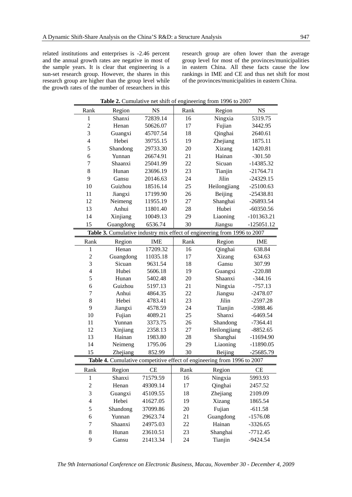related institutions and enterprises is -2.46 percent and the annual growth rates are negative in most of the sample years. It is clear that engineering is a sun-set research group. However, the shares in this research group are higher than the group level while the growth rates of the number of researchers in this research group are often lower than the average group level for most of the provinces/municipalities in eastern China. All these facts cause the low rankings in IME and CE and thus net shift for most of the provinces/municipalities in eastern China.

| <b>rapic 2.</b> Cumulative net simit of engineering from 1770 to 2007 |           |            |      |                                                                          |              |  |  |
|-----------------------------------------------------------------------|-----------|------------|------|--------------------------------------------------------------------------|--------------|--|--|
| Rank                                                                  | Region    | <b>NS</b>  | Rank | Region                                                                   | <b>NS</b>    |  |  |
| $\mathbf 1$                                                           | Shanxi    | 72839.14   | 16   | Ningxia                                                                  | 5319.75      |  |  |
| $\overline{c}$                                                        | Henan     | 50626.07   | 17   | Fujian                                                                   | 3442.95      |  |  |
| $\overline{3}$                                                        | Guangxi   | 45707.54   | 18   | Qinghai                                                                  | 2640.61      |  |  |
| $\overline{\mathbf{4}}$                                               | Hebei     | 39755.15   | 19   | Zhejiang                                                                 | 1875.11      |  |  |
| 5                                                                     | Shandong  | 29733.30   | 20   | Xizang                                                                   | 1420.81      |  |  |
| 6                                                                     | Yunnan    | 26674.91   | 21   | Hainan                                                                   | $-301.50$    |  |  |
| 7                                                                     | Shaanxi   | 25041.99   | 22   | Sicuan                                                                   | $-14385.32$  |  |  |
| 8                                                                     | Hunan     | 23696.19   | 23   | Tianjin                                                                  | $-21764.71$  |  |  |
| 9                                                                     | Gansu     | 20146.63   | 24   | Jilin                                                                    | $-24329.15$  |  |  |
| 10                                                                    | Guizhou   | 18516.14   | 25   | Heilongjiang                                                             | $-25100.63$  |  |  |
| 11                                                                    | Jiangxi   | 17199.90   | 26   | Beijing                                                                  | $-25438.81$  |  |  |
| 12                                                                    | Neimeng   | 11955.19   | 27   | Shanghai                                                                 | $-26893.54$  |  |  |
| 13                                                                    | Anhui     | 11801.40   | 28   | Hubei                                                                    | $-60350.56$  |  |  |
| 14                                                                    | Xinjiang  | 10049.13   | 29   | Liaoning                                                                 | $-101363.21$ |  |  |
| 15                                                                    | Guangdong | 6536.74    | 30   | Jiangsu                                                                  | $-125051.12$ |  |  |
|                                                                       |           |            |      | Table 3. Cumulative industry mix effect of engineering from 1996 to 2007 |              |  |  |
| Rank                                                                  | Region    | <b>IME</b> | Rank | Region                                                                   | <b>IME</b>   |  |  |
| $\mathbf{1}$                                                          | Henan     | 17209.32   | 16   | Qinghai                                                                  | 638.84       |  |  |
| $\overline{c}$                                                        | Guangdong | 11035.18   | 17   | Xizang                                                                   | 634.63       |  |  |
| 3                                                                     | Sicuan    | 9631.54    | 18   | Gansu                                                                    | 307.99       |  |  |
| $\overline{4}$                                                        | Hubei     | 5606.18    | 19   | Guangxi                                                                  | $-220.88$    |  |  |
| 5                                                                     | Hunan     | 5402.48    | 20   | Shaanxi                                                                  | $-344.16$    |  |  |
| 6                                                                     | Guizhou   | 5197.13    | 21   | Ningxia                                                                  | $-757.13$    |  |  |
| 7                                                                     | Anhui     | 4864.35    | 22   | Jiangsu                                                                  | $-2478.07$   |  |  |
| 8                                                                     | Hebei     | 4783.41    | 23   | Jilin                                                                    | $-2597.28$   |  |  |
| 9                                                                     | Jiangxi   | 4578.59    | 24   | Tianjin                                                                  | -5988.46     |  |  |
| 10                                                                    | Fujian    | 4089.21    | 25   | Shanxi                                                                   | $-6469.54$   |  |  |
| 11                                                                    | Yunnan    | 3373.75    | 26   | Shandong                                                                 | $-7364.41$   |  |  |
| 12                                                                    | Xinjiang  | 2358.13    | 27   | Heilongjiang                                                             | $-8852.65$   |  |  |
| 13                                                                    | Hainan    | 1983.80    | 28   | Shanghai                                                                 | $-11694.90$  |  |  |
| 14                                                                    | Neimeng   | 1795.06    | 29   | Liaoning                                                                 | $-11890.05$  |  |  |
| 15                                                                    | Zhejiang  | 852.99     | 30   | Beijing                                                                  | $-25685.79$  |  |  |
|                                                                       |           |            |      | Table 4. Cumulative competitive effect of engineering from 1996 to 2007  |              |  |  |
| Rank                                                                  | Region    | CE         | Rank | Region                                                                   | <b>CE</b>    |  |  |
| $\mathbf{1}$                                                          | Shanxi    | 71579.59   | 16   | Ningxia                                                                  | 5993.93      |  |  |
| $\boldsymbol{2}$                                                      | Henan     | 49309.14   | 17   | Qinghai                                                                  | 2457.52      |  |  |
| 3                                                                     | Guangxi   | 45109.55   | 18   | Zhejiang                                                                 | 2109.09      |  |  |
| $\overline{4}$                                                        | Hebei     | 41627.05   | 19   | Xizang                                                                   | 1865.54      |  |  |
| 5                                                                     | Shandong  | 37099.86   | 20   | Fujian                                                                   | $-611.58$    |  |  |
| 6                                                                     | Yunnan    | 29623.74   | 21   | Guangdong                                                                | $-1576.08$   |  |  |
| 7                                                                     | Shaanxi   | 24975.03   | 22   | Hainan                                                                   | $-3326.65$   |  |  |
| $8\,$                                                                 | Hunan     | 23610.51   | 23   | Shanghai                                                                 | $-7712.45$   |  |  |
| 9                                                                     | Gansu     | 21413.34   | 24   | Tianjin                                                                  | $-9424.54$   |  |  |

**Table 2.** Cumulative net shift of engineering from 1996 to 2007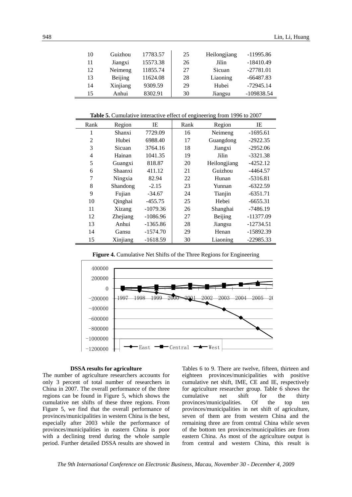| 10 | Guizhou  | 17783.57 | 25 | Heilongjiang | $-11995.86$  |
|----|----------|----------|----|--------------|--------------|
| 11 | Jiangxi  | 15573.38 | 26 | Jilin        | $-18410.49$  |
| 12 | Neimeng  | 11855.74 | 27 | Sicuan       | $-27781.01$  |
| 13 | Beijing  | 11624.08 | 28 | Liaoning     | $-66487.83$  |
| 14 | Xinjiang | 9309.59  | 29 | Hubei        | $-72945.14$  |
| 15 | Anhui    | 8302.91  | 30 | Jiangsu      | $-109838.54$ |

**Table 5.** Cumulative interactive effect of engineering from 1996 to 2007

| Rank | Region   | IE         | Rank | Region       | IE          |
|------|----------|------------|------|--------------|-------------|
| 1    | Shanxi   | 7729.09    | 16   | Neimeng      | $-1695.61$  |
| 2    | Hubei    | 6988.40    | 17   | Guangdong    | $-2922.35$  |
| 3    | Sicuan   | 3764.16    | 18   | Jiangxi      | $-2952.06$  |
| 4    | Hainan   | 1041.35    | 19   | Jilin        | $-3321.38$  |
| 5    | Guangxi  | 818.87     | 20   | Heilongjiang | $-4252.12$  |
| 6    | Shaanxi  | 411.12     | 21   | Guizhou      | $-4464.57$  |
| 7    | Ningxia  | 82.94      | 22   | Hunan        | $-5316.81$  |
| 8    | Shandong | $-2.15$    | 23   | Yunnan       | $-6322.59$  |
| 9    | Fujian   | $-34.67$   | 24   | Tianjin      | $-6351.71$  |
| 10   | Qinghai  | $-455.75$  | 25   | Hebei        | $-6655.31$  |
| 11   | Xizang   | $-1079.36$ | 26   | Shanghai     | $-7486.19$  |
| 12   | Zhejiang | $-1086.96$ | 27   | Beijing      | -11377.09   |
| 13   | Anhui    | $-1365.86$ | 28   | Jiangsu      | $-12734.51$ |
| 14   | Gansu    | $-1574.70$ | 29   | Henan        | $-15892.39$ |
| 15   | Xinjiang | $-1618.59$ | 30   | Liaoning     | $-22985.33$ |

**Figure 4.** Cumulative Net Shifts of the Three Regions for Engineering



## **DSSA results for agriculture**

The number of agriculture researchers accounts for only 3 percent of total number of researchers in China in 2007. The overall performance of the three regions can be found in Figure 5, which shows the cumulative net shifts of these three regions. From Figure 5, we find that the overall performance of provinces/municipalities in western China is the best, especially after 2003 while the performance of provinces/municipalities in eastern China is poor with a declining trend during the whole sample period. Further detailed DSSA results are showed in Tables 6 to 9. There are twelve, fifteen, thirteen and eighteen provinces/municipalities with positive cumulative net shift, IME, CE and IE, respectively for agriculture researcher group. Table 6 shows the cumulative net shift for the thirty provinces/municipalities. Of the top ten provinces/municipalities in net shift of agriculture, seven of them are from western China and the remaining three are from central China while seven of the bottom ten provinces/municipalities are from eastern China. As most of the agriculture output is from central and western China, this result is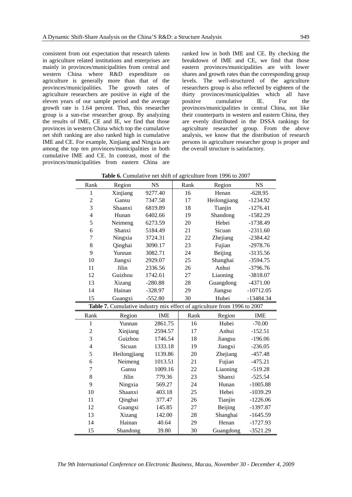consistent from out expectation that research talents in agriculture related institutions and enterprises are mainly in provinces/municipalities from central and western China where R&D expenditure on agriculture is generally more than that of the provinces/municipalities. The growth rates of agriculture researchers are positive in eight of the eleven years of our sample period and the average growth rate is 1.64 percent. Thus, this researcher group is a sun-rise researcher group. By analyzing the results of IME, CE and IE, we find that those provinces in western China which top the cumulative net shift ranking are also ranked high in cumulative IME and CE. For example, Xinjiang and Ningxia are among the top ten provinces/municipalities in both cumulative IME and CE. In contrast, most of the provinces/municipalities from eastern China are ranked low in both IME and CE. By checking the breakdown of IME and CE, we find that those eastern provinces/municipalities are with lower shares and growth rates than the corresponding group levels. The well-structured of the agriculture researchers group is also reflected by eighteen of the thirty provinces/municipalities which all have positive cumulative IE. For the provinces/municipalities in central China, not like their counterparts in western and eastern China, they are evenly distributed in the DSSA rankings for agriculture researcher group. From the above analysis, we know that the distribution of research persons in agriculture researcher group is proper and the overall structure is satisfactory.

|  | <b>Table 6.</b> Cumulative net shift of agriculture from 1996 to 2007 |
|--|-----------------------------------------------------------------------|
|--|-----------------------------------------------------------------------|

| Rank           | Region       | <b>NS</b>  | Rank | Region                                                                   | <b>NS</b>   |
|----------------|--------------|------------|------|--------------------------------------------------------------------------|-------------|
| $\mathbf{1}$   | Xinjiang     | 9277.40    | 16   | Henan                                                                    | $-628.95$   |
| $\overline{c}$ | Gansu        | 7347.58    | 17   | Heilongjiang                                                             | $-1234.92$  |
| $\overline{3}$ | Shaanxi      | 6819.89    | 18   | Tianjin                                                                  | $-1276.41$  |
| $\overline{4}$ | Hunan        | 6402.66    | 19   | Shandong                                                                 | $-1582.29$  |
| 5              | Neimeng      | 6273.59    | 20   | Hebei                                                                    | $-1738.49$  |
| 6              | Shanxi       | 5184.49    | 21   | Sicuan                                                                   | $-2311.60$  |
| $\overline{7}$ | Ningxia      | 3724.31    | 22   | Zhejiang                                                                 | $-2384.42$  |
| 8              | Qinghai      | 3090.17    | 23   | Fujian                                                                   | $-2978.76$  |
| 9              | Yunnan       | 3082.71    | 24   | Beijing                                                                  | $-3135.56$  |
| 10             | Jiangxi      | 2929.07    | 25   | Shanghai                                                                 | $-3594.75$  |
| 11             | Jilin        | 2336.56    | 26   | Anhui                                                                    | $-3796.76$  |
| 12             | Guizhou      | 1742.61    | 27   | Liaoning                                                                 | $-3818.07$  |
| 13             | Xizang       | $-280.88$  | 28   | Guangdong                                                                | $-4371.00$  |
| 14             | Hainan       | $-328.97$  | 29   | Jiangsu                                                                  | $-10712.05$ |
| 15             | Guangxi      | $-552.80$  | 30   | Hubei                                                                    | $-13484.34$ |
|                |              |            |      | Table 7. Cumulative industry mix effect of agriculture from 1996 to 2007 |             |
| Rank           | Region       | <b>IME</b> | Rank | Region                                                                   | <b>IME</b>  |
| $\mathbf{1}$   | Yunnan       | 2861.75    | 16   | Hubei                                                                    | $-70.00$    |
| $\sqrt{2}$     | Xinjiang     | 2594.57    | 17   | Anhui                                                                    | $-152.51$   |
| $\overline{3}$ | Guizhou      | 1746.54    | 18   | Jiangsu                                                                  | $-196.06$   |
| $\overline{4}$ | Sicuan       | 1333.18    | 19   | Jiangxi                                                                  | $-236.05$   |
| 5              | Heilongjiang | 1139.86    | 20   | Zhejiang                                                                 | $-457.48$   |
| 6              | Neimeng      | 1013.51    | 21   | Fujian                                                                   | $-475.21$   |
| $\overline{7}$ | Gansu        | 1009.16    | 22   | Liaoning                                                                 | $-519.28$   |
| 8              | Jilin        | 779.36     | 23   | Shanxi                                                                   | $-525.54$   |
| 9              | Ningxia      | 569.27     | 24   | Hunan                                                                    | $-1005.88$  |
| 10             | Shaanxi      | 403.18     | 25   | Hebei                                                                    | $-1039.29$  |
| 11             | Qinghai      | 377.47     | 26   | Tianjin                                                                  | $-1226.06$  |
| 12             | Guangxi      | 145.85     | 27   | Beijing                                                                  | $-1397.87$  |
| 13             | Xizang       | 142.00     | 28   | Shanghai                                                                 | $-1645.59$  |
| 14             | Hainan       | 40.64      | 29   | Henan                                                                    | $-1727.93$  |
| 15             | Shandong     | 39.80      | 30   | Guangdong                                                                | $-3521.29$  |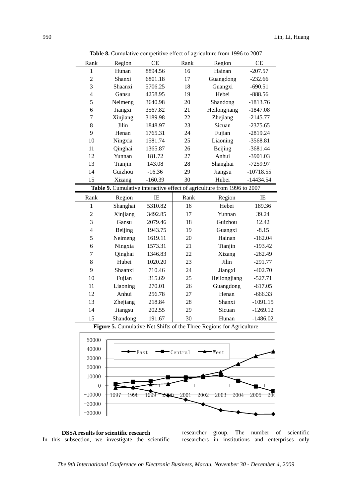| Rank           | Region   | СE        | Rank | Region                                                                  | CE          |
|----------------|----------|-----------|------|-------------------------------------------------------------------------|-------------|
| $\mathbf{1}$   | Hunan    | 8894.56   | 16   | Hainan                                                                  | $-207.57$   |
| $\overline{c}$ | Shanxi   | 6801.18   | 17   | Guangdong                                                               | $-232.66$   |
| 3              | Shaanxi  | 5706.25   | 18   | Guangxi                                                                 | $-690.51$   |
| $\overline{4}$ | Gansu    | 4258.95   | 19   | Hebei                                                                   | $-888.56$   |
| 5              | Neimeng  | 3640.98   | 20   | Shandong                                                                | $-1813.76$  |
| 6              | Jiangxi  | 3567.82   | 21   | Heilongjiang                                                            | $-1847.08$  |
| $\overline{7}$ | Xinjiang | 3189.98   | 22   | Zhejiang                                                                | $-2145.77$  |
| 8              | Jilin    | 1848.97   | 23   | Sicuan                                                                  | $-2375.65$  |
| 9              | Henan    | 1765.31   | 24   | Fujian                                                                  | $-2819.24$  |
| 10             | Ningxia  | 1581.74   | 25   | Liaoning                                                                | $-3568.81$  |
| 11             | Qinghai  | 1365.87   | 26   | Beijing                                                                 | $-3681.44$  |
| 12             | Yunnan   | 181.72    | 27   | Anhui                                                                   | $-3901.03$  |
| 13             | Tianjin  | 143.08    | 28   | Shanghai                                                                | -7259.97    |
| 14             | Guizhou  | $-16.36$  | 29   | Jiangsu                                                                 | $-10718.55$ |
| 15             | Xizang   | $-160.39$ | 30   | Hubei                                                                   | $-14434.54$ |
|                |          |           |      | Table 9. Cumulative interactive effect of agriculture from 1996 to 2007 |             |
| Rank           | Region   | IE        | Rank | Region                                                                  | IE          |
| $\mathbf{1}$   | Shanghai | 5310.82   | 16   | Hebei                                                                   | 189.36      |
|                |          |           |      |                                                                         |             |
| $\overline{c}$ | Xinjiang | 3492.85   | 17   | Yunnan                                                                  | 39.24       |
| $\overline{3}$ | Gansu    | 2079.46   | 18   | Guizhou                                                                 | 12.42       |
| $\overline{4}$ | Beijing  | 1943.75   | 19   | Guangxi                                                                 | $-8.15$     |
| 5              | Neimeng  | 1619.11   | 20   | Hainan                                                                  | $-162.04$   |
| 6              | Ningxia  | 1573.31   | 21   | Tianjin                                                                 | $-193.42$   |
| $\overline{7}$ | Qinghai  | 1346.83   | 22   | Xizang                                                                  | $-262.49$   |
| 8              | Hubei    | 1020.20   | 23   | Jilin                                                                   | $-291.77$   |
| 9              | Shaanxi  | 710.46    | 24   | Jiangxi                                                                 | $-402.70$   |
| 10             | Fujian   | 315.69    | 25   | Heilongjiang                                                            | $-527.71$   |
| 11             | Liaoning | 270.01    | 26   | Guangdong                                                               | $-617.05$   |
| 12             | Anhui    | 256.78    | 27   | Henan                                                                   | $-666.33$   |
| 13             | Zhejiang | 218.84    | 28   | Shanxi                                                                  | $-1091.15$  |
| 14             | Jiangsu  | 202.55    | 29   | Sicuan                                                                  | $-1269.12$  |

**Table 8.** Cumulative competitive effect of agriculture from 1996 to 2007

**Figure 5.** Cumulative Net Shifts of the Three Regions for Agriculture





researcher group. The number of scientific researchers in institutions and enterprises only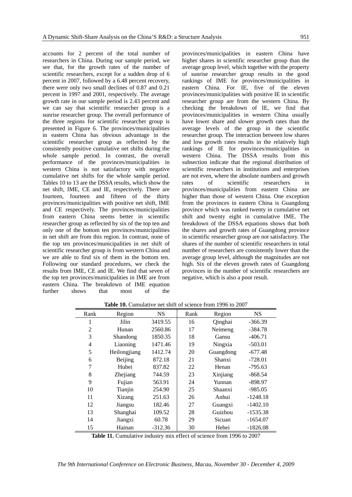accounts for 2 percent of the total number of researchers in China. During our sample period, we see that, for the growth rates of the number of scientific researchers, except for a sudden drop of 6 percent in 2007, followed by a 6.48 percent recovery, there were only two small declines of 0.87 and 0.21 percent in 1997 and 2001, respectively. The average growth rate in our sample period is 2.43 percent and we can say that scientific researcher group is a sunrise researcher group. The overall performance of the three regions for scientific researcher group is presented in Figure 6. The provinces/municipalities in eastern China has obvious advantage in the scientific researcher group as reflected by the consistently positive cumulative net shifts during the whole sample period. In contrast, the overall performance of the provinces/municipalities in western China is not satisfactory with negative cumulative net shifts for the whole sample period. Tables 10 to 13 are the DSSA results, which show the net shift, IME, CE and IE, respectively. There are fourteen, fourteen and fifteen of the thirty provinces/municipalities with positive net shift, IME and CE respectively. The provinces/municipalities from eastern China seems better in scientific researcher group as reflected by six of the top ten and only one of the bottom ten provinces/municipalities in net shift are from this region. In contrast, none of the top ten provinces/municipalities in net shift of scientific researcher group is from western China and we are able to find six of them in the bottom ten. Following our standard procedures, we check the results from IME, CE and IE. We find that seven of the top ten provinces/municipalities in IME are from eastern China. The breakdown of IME equation further shows that most of the provinces/municipalities in eastern China have higher shares in scientific researcher group than the average group level, which together with the property of sunrise researcher group results in the good rankings of IME for provinces/municipalities in eastern China. For IE, five of the eleven provinces/municipalities with positive IE in scientific researcher group are from the western China. By checking the breakdown of IE, we find that provinces/municipalities in western China usually have lower share and slower growth rates than the average levels of the group in the scientific researcher group. The interaction between low shares and low growth rates results in the relatively high rankings of IE for provinces/municipalities in western China. The DSSA results from this subsection indicate that the regional distribution of scientific researchers in institutions and enterprises are not even, where the absolute numbers and growth rates of scientific researchers in provinces/municipalities from eastern China are higher than those of western China. One exception from the provinces in eastern China is Guangdong province which was ranked twenty in cumulative net shift and twenty eight in cumulative IME. The breakdown of the DSSA equations shows that both the shares and growth rates of Guangdong province in scientific researcher group are not satisfactory. The shares of the number of scientific researchers in total number of researchers are consistently lower than the average group level, although the magnitudes are not high. Six of the eleven growth rates of Guangdong provinces in the number of scientific researchers are negative, which is also a poor result.

| Rank           | Region       | <b>NS</b> | Rank | Region    | <b>NS</b>  |
|----------------|--------------|-----------|------|-----------|------------|
| 1              | Jilin        | 3419.55   | 16   | Qinghai   | $-366.39$  |
| $\overline{2}$ | Hunan        | 2560.86   | 17   | Neimeng   | $-384.78$  |
| 3              | Shandong     | 1850.35   | 18   | Gansu     | -406.71    |
| 4              | Liaoning     | 1471.46   | 19   | Ningxia   | $-503.01$  |
| 5              | Heilongjiang | 1412.74   | 20   | Guangdong | $-677.48$  |
| 6              | Beijing      | 872.18    | 21   | Shanxi    | $-728.01$  |
| 7              | Hubei        | 837.82    | 22   | Henan     | $-795.63$  |
| 8              | Zhejiang     | 744.59    | 23   | Xinjiang  | $-868.54$  |
| 9              | Fujian       | 563.91    | 24   | Yunnan    | $-898.97$  |
| 10             | Tianjin      | 254.90    | 25   | Shaanxi   | -985.05    |
| 11             | Xizang       | 251.63    | 26   | Anhui     | $-1248.18$ |
| 12             | Jiangsu      | 182.46    | 27   | Guangxi   | -1402.10   |
| 13             | Shanghai     | 109.52    | 28   | Guizhou   | $-1535.38$ |
| 14             | Jiangxi      | 60.78     | 29   | Sicuan    | $-1654.07$ |
| 15             | Hainan       | $-312.36$ | 30   | Hebei     | $-1826.08$ |

Table 10. Cumulative net shift of science from 1996 to 2007

Table 11. Cumulative industry mix effect of science from 1996 to 2007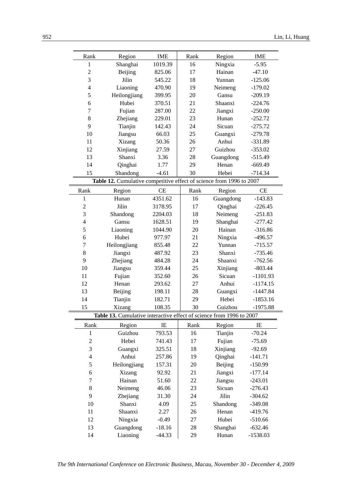| Rank           | Region                                                               | <b>IME</b> | Rank | Region           | <b>IME</b> |
|----------------|----------------------------------------------------------------------|------------|------|------------------|------------|
| $\mathbf{1}$   | Shanghai                                                             | 1019.39    | 16   | Ningxia          | $-5.95$    |
| $\overline{c}$ | Beijing                                                              | 825.06     | 17   | Hainan           | $-47.10$   |
| 3              | Jilin                                                                | 545.22     | 18   | Yunnan           | $-125.06$  |
| $\overline{4}$ | Liaoning                                                             | 470.90     | 19   | Neimeng          | $-179.02$  |
| 5              | Heilongjiang                                                         | 399.95     | 20   | Gansu            | $-209.19$  |
| 6              | Hubei                                                                | 370.51     | 21   | Shaanxi          | $-224.76$  |
| $\tau$         | Fujian                                                               | 287.00     | 22   | Jiangxi          | $-250.00$  |
| 8              | Zhejiang                                                             | 229.01     | 23   | Hunan            | $-252.72$  |
| 9              | Tianjin                                                              | 142.43     | 24   | Sicuan           | $-275.72$  |
| 10             | Jiangsu                                                              | 66.03      | 25   | Guangxi          | $-279.78$  |
| 11             | Xizang                                                               | 50.36      | 26   | Anhui            | $-331.89$  |
| 12             | Xinjiang                                                             | 27.59      | 27   | Guizhou          | $-353.02$  |
| 13             | Shanxi                                                               | 3.36       | 28   | Guangdong        | $-515.49$  |
| 14             | Qinghai                                                              | 1.77       | 29   | Henan            | $-669.49$  |
| 15             | Shandong                                                             | $-4.61$    | 30   | Hebei            | $-714.34$  |
|                | Table 12. Cumulative competitive effect of science from 1996 to 2007 |            |      |                  |            |
| Rank           | Region                                                               | CE         | Rank | Region           | CE         |
| 1              | Hunan                                                                | 4351.62    | 16   | Guangdong        | $-143.83$  |
| $\overline{2}$ | Jilin                                                                | 3178.95    | 17   | Qinghai          | $-226.45$  |
| 3              | Shandong                                                             | 2204.03    | 18   | Neimeng          | $-251.83$  |
| $\overline{4}$ | Gansu                                                                | 1628.51    | 19   | Shanghai         | $-277.42$  |
| 5              | Liaoning                                                             | 1044.90    | 20   | Hainan           | $-316.86$  |
| 6              | Hubei                                                                | 977.97     | 21   | Ningxia          | $-496.57$  |
| 7              | Heilongjiang                                                         | 855.48     | 22   | Yunnan           | $-715.57$  |
| $8\,$          | Jiangxi                                                              | 487.92     | 23   | Shanxi           | $-735.46$  |
| 9              | Zhejiang                                                             | 484.28     | 24   | Shaanxi          | $-762.56$  |
| 10             | Jiangsu                                                              | 359.44     | 25   | Xinjiang         | $-803.44$  |
| 11             |                                                                      | 352.60     | 26   | Sicuan           | $-1101.93$ |
| 12             | Fujian<br>Henan                                                      | 293.62     | 27   | Anhui            | $-1174.15$ |
| 13             | Beijing                                                              | 198.11     | 28   |                  | $-1447.84$ |
| 14             |                                                                      | 182.71     | 29   | Guangxi<br>Hebei | $-1853.16$ |
|                | Tianjin                                                              |            |      |                  |            |
| 15             | Xizang                                                               | 108.35     | 30   | Guizhou          | $-1975.88$ |
|                | Table 13. Cumulative interactive effect of science from 1996 to 2007 |            |      |                  |            |
| Rank           | Region                                                               | $\rm IE$   | Rank | Region           | IE         |
| 1              | Guizhou                                                              | 793.53     | 16   | Tianjin          | $-70.24$   |
| $\mathfrak{2}$ | Hebei                                                                | 741.43     | 17   | Fujian           | $-75.69$   |
| 3              | Guangxi                                                              | 325.51     | 18   | Xinjiang         | $-92.69$   |
| $\overline{4}$ | Anhui                                                                | 257.86     | 19   | Qinghai          | $-141.71$  |
| 5              | Heilongjiang                                                         | 157.31     | 20   | Beijing          | $-150.99$  |
| 6              | Xizang                                                               | 92.92      | 21   | Jiangxi          | $-177.14$  |
| 7              | Hainan                                                               | 51.60      | 22   | Jiangsu          | $-243.01$  |
| $8\,$          | Neimeng                                                              | 46.06      | 23   | Sicuan           | $-276.43$  |
| 9              | Zhejiang                                                             | 31.30      | 24   | Jilin            | $-304.62$  |
| 10             | Shanxi                                                               | 4.09       | 25   | Shandong         | $-349.08$  |
| 11             | Shaanxi                                                              | 2.27       | 26   | Henan            | $-419.76$  |
| 12             | Ningxia                                                              | $-0.49$    | 27   | Hubei            | $-510.66$  |
| 13             | Guangdong                                                            | $-18.16$   | 28   | Shanghai         | $-632.46$  |
| 14             | Liaoning                                                             | $-44.33$   | 29   | Hunan            | $-1538.03$ |
|                |                                                                      |            |      |                  |            |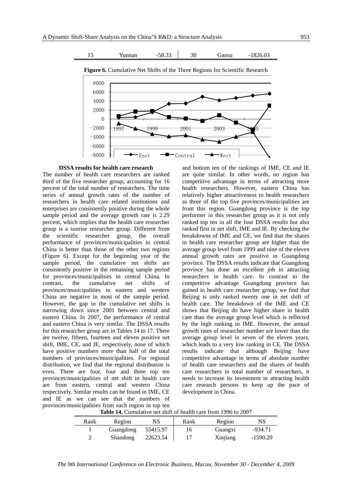

#### **DSSA results for health care research**

The number of health care researchers are ranked third of the five researcher group, accounting for 16 percent of the total number of researchers. The time series of annual growth rates of the number of researchers in health care related institutions and enterprises are consistently positive during the whole sample period and the average growth rate is 2.29 percent, which implies that the health care researcher group is a sunrise researcher group. Different from the scientific researcher group, the overall performance of provinces/municipalities in central China is better than those of the other two regions (Figure 6). Except for the beginning year of the sample period, the cumulative net shifts are consistently positive in the remaining sample period for provinces/municipalities in central China. In contrast, the cumulative net shifts of provinces/municipalities in eastern and western China are negative in most of the sample period. However, the gap in the cumulative net shifts is narrowing down since 2001 between central and eastern China. In 2007, the performance of central and eastern China is very similar. The DSSA results for this researcher group are in Tables 14 to 17. There are twelve, fifteen, fourteen and eleven positive net shift, IME, CE, and IE, respectively, none of which have positive numbers more than half of the total numbers of provinces/municipalities. For regional distribution, we find that the regional distribution is even. There are four, four and three top ten provinces/municipalities of net shift in health care are from eastern, central and western China respectively. Similar results can be found in IME, CE and IE as we can see that the numbers of provinces/municipalities from each region in top ten

and bottom ten of the rankings of IME, CE and IE are quite similar. In other words, no region has competitive advantage in terms of attracting more health researchers. However, eastern China has relatively higher attractiveness to health researchers as three of the top five provinces/municipalities are from this region. Guangdong province is the top performer in this researcher group as it is not only ranked top ten in all the four DSSA results but also ranked first in net shift, IME and IE. By checking the breakdowns of IME and CE, we find that the shares in health care researcher group are higher than the average group level from 1999 and nine of the eleven annual growth rates are positive in Guangdong province. The DSSA results indicate that Guangdong province has done an excellent job in attracting researchers in health care. In contrast to the competitive advantage Guangdong province has gained in health care researcher group, we find that Beijing is only ranked twenty one in net shift of health care. The breakdown of the IME and CE shows that Beijing do have higher share in health care than the average group level which is reflected by the high ranking in IME. However, the annual growth rates of researcher number are lower than the average group level in seven of the eleven years, which leads to a very low ranking in CE. The DSSA results indicate that although Beijing have competitive advantage in terms of absolute number of health care researchers and the shares of health care researchers in total number of researchers, it needs to increase its investment in attracting health care research persons to keep up the pace of development in China.

|      | <b>Table 14.</b> Cumulative net simit of neather care from 1990 to 2007 |          |      |          |            |  |  |  |
|------|-------------------------------------------------------------------------|----------|------|----------|------------|--|--|--|
| Rank | Region                                                                  | NS       | Rank | Region   | NS         |  |  |  |
|      | Guangdong                                                               | 55415.97 | 16   | Guangxi  | $-934.71$  |  |  |  |
|      | Shandong                                                                | 22623.54 |      | Xinjiang | $-1590.20$ |  |  |  |

**Table 14.** Cumulative net shift of health care from 1996 to 2007

*The 9th International Conference on Electronic Business, Macau, November 30 - December 4, 2009*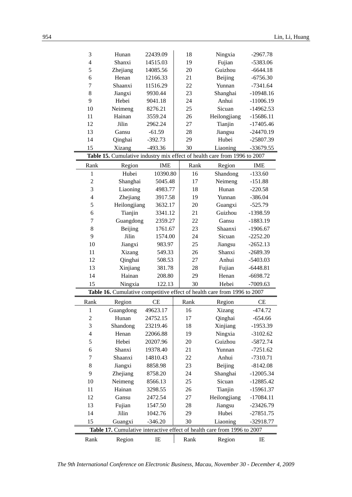| 3                        | Hunan        | 22439.09   | 18   | Ningxia                                                                   | $-2967.78$  |
|--------------------------|--------------|------------|------|---------------------------------------------------------------------------|-------------|
| $\overline{\mathcal{L}}$ | Shanxi       | 14515.03   | 19   | Fujian                                                                    | $-5383.06$  |
| 5                        | Zhejiang     | 14085.56   | 20   | Guizhou                                                                   | $-6644.18$  |
| 6                        | Henan        | 12166.33   | 21   | Beijing                                                                   | $-6756.30$  |
| 7                        | Shaanxi      | 11516.29   | 22   | Yunnan                                                                    | $-7341.64$  |
| 8                        | Jiangxi      | 9930.44    | 23   | Shanghai                                                                  | $-10948.16$ |
| 9                        | Hebei        | 9041.18    | 24   | Anhui                                                                     | $-11006.19$ |
| 10                       | Neimeng      | 8276.21    | 25   | Sicuan                                                                    | $-14962.53$ |
| 11                       | Hainan       | 3559.24    | 26   | Heilongjiang                                                              | $-15686.11$ |
| 12                       | Jilin        | 2962.24    | 27   | Tianjin                                                                   | $-17405.46$ |
| 13                       | Gansu        | $-61.59$   | 28   | Jiangsu                                                                   | $-24470.19$ |
| 14                       | Qinghai      | $-392.73$  | 29   | Hubei                                                                     | $-25807.39$ |
| 15                       | Xizang       | $-493.36$  | 30   | Liaoning                                                                  | -33679.55   |
|                          |              |            |      | Table 15. Cumulative industry mix effect of health care from 1996 to 2007 |             |
| Rank                     | Region       | <b>IME</b> | Rank | Region                                                                    | <b>IME</b>  |
| $\mathbf{1}$             | Hubei        | 10390.80   | 16   | Shandong                                                                  | $-133.60$   |
| $\overline{c}$           | Shanghai     | 5045.48    | 17   | Neimeng                                                                   | $-151.88$   |
| 3                        | Liaoning     | 4983.77    | 18   | Hunan                                                                     | $-220.58$   |
| $\overline{4}$           | Zhejiang     | 3917.58    | 19   | Yunnan                                                                    | $-386.04$   |
| 5                        | Heilongjiang | 3632.17    | 20   | Guangxi                                                                   | $-525.79$   |
| 6                        | Tianjin      | 3341.12    | 21   | Guizhou                                                                   | $-1398.59$  |
| 7                        | Guangdong    | 2359.27    | 22   | Gansu                                                                     | $-1883.19$  |
| 8                        | Beijing      | 1761.67    | 23   | Shaanxi                                                                   | $-1906.67$  |
| 9                        | Jilin        | 1574.00    | 24   | Sicuan                                                                    | $-2252.20$  |
| 10                       | Jiangxi      | 983.97     | 25   | Jiangsu                                                                   | $-2652.13$  |
| 11                       | Xizang       | 549.33     | 26   | Shanxi                                                                    | $-2689.39$  |
| 12                       | Qinghai      | 508.53     | 27   | Anhui                                                                     | $-5403.03$  |
| 13                       | Xinjiang     | 381.78     | 28   | Fujian                                                                    | $-6448.81$  |
| 14                       | Hainan       | 208.80     | 29   | Henan                                                                     | $-6698.72$  |
| 15                       | Ningxia      | 122.13     | 30   | Hebei                                                                     | $-7009.63$  |
|                          |              |            |      | Table 16. Cumulative competitive effect of health care from 1996 to 2007  |             |
| Rank                     | Region       | CE         | Rank | Region                                                                    | CE          |
| 1                        | Guangdong    | 49623.17   | 16   | Xizang                                                                    | $-474.72$   |
| $\overline{c}$           | Hunan        | 24752.15   | 17   | Qinghai                                                                   | $-654.66$   |
| 3                        | Shandong     | 23219.46   | 18   | Xinjiang                                                                  | $-1953.39$  |
| $\overline{\mathcal{L}}$ | Henan        | 22066.88   | 19   | Ningxia                                                                   | $-3102.62$  |
| 5                        | Hebei        | 20207.96   | 20   | Guizhou                                                                   | $-5872.74$  |
| 6                        | Shanxi       | 19378.40   | 21   | Yunnan                                                                    | $-7251.62$  |
| 7                        | Shaanxi      | 14810.43   | 22   | Anhui                                                                     | $-7310.71$  |
| 8                        | Jiangxi      | 8858.98    | 23   | Beijing                                                                   | $-8142.08$  |
| 9                        | Zhejiang     | 8758.20    | 24   | Shanghai                                                                  | $-12005.34$ |
| 10                       | Neimeng      | 8566.13    | 25   | Sicuan                                                                    | $-12885.42$ |
| 11                       | Hainan       | 3298.55    | 26   | Tianjin                                                                   | -15961.37   |
| 12                       | Gansu        | 2472.54    | 27   | Heilongjiang                                                              | $-17084.11$ |
| 13                       | Fujian       | 1547.50    | 28   | Jiangsu                                                                   | $-23426.79$ |
| 14                       | Jilin        | 1042.76    | 29   | Hubei                                                                     | $-27851.75$ |
| 15                       | Guangxi      | $-346.20$  | 30   | Liaoning                                                                  | $-32918.77$ |
|                          |              |            |      | Table 17. Cumulative interactive effect of health care from 1996 to 2007  |             |
|                          |              |            |      |                                                                           |             |
| Rank                     | Region       | IE         | Rank | Region                                                                    | IE          |

*The 9th International Conference on Electronic Business, Macau, November 30 - December 4, 2009*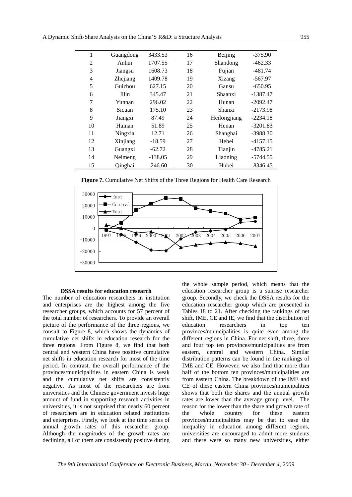| 1              | Guangdong | 3433.53   | 16 | Beijing      | $-375.90$  |
|----------------|-----------|-----------|----|--------------|------------|
| $\overline{2}$ | Anhui     | 1707.55   | 17 | Shandong     | $-462.33$  |
| 3              | Jiangsu   | 1608.73   | 18 | Fujian       | $-481.74$  |
| $\overline{4}$ | Zhejiang  | 1409.78   | 19 | Xizang       | $-567.97$  |
| 5              | Guizhou   | 627.15    | 20 | Gansu        | $-650.95$  |
| 6              | Jilin     | 345.47    | 21 | Shaanxi      | $-1387.47$ |
| 7              | Yunnan    | 296.02    | 22 | Hunan        | $-2092.47$ |
| 8              | Sicuan    | 175.10    | 23 | Shanxi       | $-2173.98$ |
| 9              | Jiangxi   | 87.49     | 24 | Heilongjiang | $-2234.18$ |
| 10             | Hainan    | 51.89     | 25 | Henan        | $-3201.83$ |
| 11             | Ningxia   | 12.71     | 26 | Shanghai     | $-3988.30$ |
| 12             | Xinjiang  | $-18.59$  | 27 | Hebei        | $-4157.15$ |
| 13             | Guangxi   | $-62.72$  | 28 | Tianjin      | $-4785.21$ |
| 14             | Neimeng   | $-138.05$ | 29 | Liaoning     | $-5744.55$ |
| 15             | Qinghai   | $-246.60$ | 30 | Hubei        | -8346.45   |



**Figure 7.** Cumulative Net Shifts of the Three Regions for Health Care Research

#### **DSSA results for education research**

The number of education researchers in institution and enterprises are the highest among the five researcher groups, which accounts for 57 percent of the total number of researchers. To provide an overall picture of the performance of the three regions, we consult to Figure 8, which shows the dynamics of cumulative net shifts in education research for the three regions. From Figure 8, we find that both central and western China have positive cumulative net shifts in education research for most of the time period. In contrast, the overall performance of the provinces/municipalities in eastern China is weak and the cumulative net shifts are consistently negative. As most of the researchers are from universities and the Chinese government invests huge amount of fund in supporting research activities in universities, it is not surprised that nearly 60 percent of researchers are in education related institutions and enterprises. Firstly, we look at the time series of annual growth rates of this researcher group. Although the magnitudes of the growth rates are declining, all of them are consistently positive during the whole sample period, which means that the education researcher group is a sunrise researcher group. Secondly, we check the DSSA results for the education researcher group which are presented in Tables 18 to 21. After checking the rankings of net shift, IME, CE and IE, we find that the distribution of education researchers in top ten provinces/municipalities is quite even among the different regions in China. For net shift, three, three and four top ten provinces/municipalities are from eastern, central and western China. Similar distribution patterns can be found in the rankings of IME and CE. However, we also find that more than half of the bottom ten provinces/municipalities are from eastern China. The breakdown of the IME and CE of these eastern China provinces/municipalities shows that both the shares and the annual growth rates are lower than the average group level. The reason for the lower than the share and growth rate of the whole country for these eastern provinces/municipalities may be that to ease the inequality in education among different regions, universities are encouraged to admit more students and there were so many new universities, either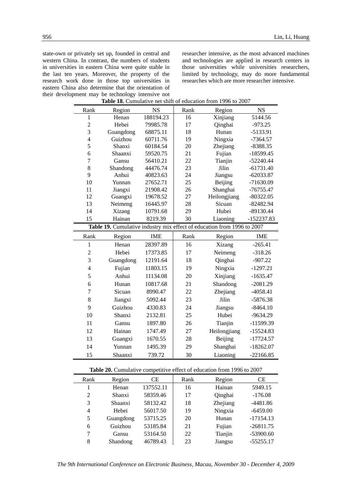state-own or privately set up, founded in central and western China. In contrast, the numbers of students in universities in eastern China were quite stable in the last ten years. Moreover, the property of the research work done in those top universities in eastern China also determine that the orientation of their development may be technology intensive not<br> **Table 18.** Cumulative net shift researcher intensive, as the most advanced machines and technologies are applied in research centers in those universities while universities researchers, limited by technology, may do more fundamental researches which are more researcher intensive.

| <b>Table 18.</b> Cumulative net shift of education from 1996 to 2007    |           |            |      |              |              |
|-------------------------------------------------------------------------|-----------|------------|------|--------------|--------------|
| Rank                                                                    | Region    | <b>NS</b>  | Rank | Region       | <b>NS</b>    |
| $\mathbf{1}$                                                            | Henan     | 188194.23  | 16   | Xinjiang     | 5144.56      |
| $\overline{c}$                                                          | Hebei     | 79985.78   | 17   | Qinghai      | $-973.25$    |
| 3                                                                       | Guangdong | 68875.11   | 18   | Hunan        | -5133.91     |
| $\overline{\mathbf{4}}$                                                 | Guizhou   | 60711.76   | 19   | Ningxia      | $-7364.57$   |
| 5                                                                       | Shanxi    | 60184.54   | 20   | Zhejiang     | $-8388.35$   |
| 6                                                                       | Shaanxi   | 59520.75   | 21   | Fujian       | $-18599.45$  |
| 7                                                                       | Gansu     | 56410.21   | 22   | Tianjin      | $-52240.44$  |
| 8                                                                       | Shandong  | 44476.74   | 23   | Jilin        | $-61731.40$  |
| 9                                                                       | Anhui     | 40823.63   | 24   | Jiangsu      | $-62033.87$  |
| 10                                                                      | Yunnan    | 27652.71   | 25   | Beijing      | $-71630.09$  |
| 11                                                                      | Jiangxi   | 21908.42   | 26   | Shanghai     | $-76755.47$  |
| 12                                                                      | Guangxi   | 19678.52   | 27   | Heilongjiang | $-80322.05$  |
| 13                                                                      | Neimeng   | 16445.97   | 28   | Sicuan       | $-82482.94$  |
| 14                                                                      | Xizang    | 10791.68   | 29   | Hubei        | $-89130.44$  |
| 15                                                                      | Hainan    | 8219.39    | 30   | Liaoning     | $-152237.83$ |
| Table 19. Cumulative industry mix effect of education from 1996 to 2007 |           |            |      |              |              |
|                                                                         |           |            |      |              |              |
| Rank                                                                    | Region    | <b>IME</b> | Rank | Region       | <b>IME</b>   |
| $\mathbf{1}$                                                            | Henan     | 28397.89   | 16   | Xizang       | $-265.41$    |
| $\overline{c}$                                                          | Hebei     | 17373.85   | 17   | Neimeng      | $-318.26$    |
| 3                                                                       | Guangdong | 12191.64   | 18   | Qinghai      | $-907.22$    |
| $\overline{4}$                                                          | Fujian    | 11803.15   | 19   | Ningxia      | $-1297.21$   |
| 5                                                                       | Anhui     | 11134.08   | 20   | Xinjiang     | $-1635.47$   |
| 6                                                                       | Hunan     | 10817.68   | 21   | Shandong     | $-2081.29$   |
| 7                                                                       | Sicuan    | 8990.47    | 22   | Zhejiang     | $-4058.41$   |
| 8                                                                       | Jiangxi   | 5092.44    | 23   | Jilin        | $-5876.38$   |
| 9                                                                       | Guizhou   | 4330.83    | 24   | Jiangsu      | $-8464.10$   |
| 10                                                                      | Shanxi    | 2132.81    | 25   | Hubei        | $-9634.29$   |
| 11                                                                      | Gansu     | 1897.80    | 26   | Tianjin      | -11599.39    |
| 12                                                                      | Hainan    | 1747.49    | 27   | Heilongjiang | $-15524.83$  |
| 13                                                                      | Guangxi   | 1670.55    | 28   | Beijing      | $-17724.57$  |
| 14                                                                      | Yunnan    | 1495.39    | 29   | Shanghai     | $-18262.07$  |

**Table 18.** Cumulative net shift of education from 1996 to 2007

| <b>Table 20.</b> Cumulative competitive effect of education from 1996 to 2007 |  |  |
|-------------------------------------------------------------------------------|--|--|
|-------------------------------------------------------------------------------|--|--|

| <b>Table 20.</b> Cumulative competitive check of equeation from 1990 to 2007 |           |           |      |          |             |  |
|------------------------------------------------------------------------------|-----------|-----------|------|----------|-------------|--|
| Rank                                                                         | Region    | СE        | Rank | Region   | <b>CE</b>   |  |
|                                                                              | Henan     | 137552.11 | 16   | Hainan   | 5949.15     |  |
| 2                                                                            | Shanxi    | 58359.46  | 17   | Qinghai  | $-176.08$   |  |
| 3                                                                            | Shaanxi   | 58132.42  | 18   | Zhejiang | $-4481.86$  |  |
| 4                                                                            | Hebei     | 56017.50  | 19   | Ningxia  | $-6459.00$  |  |
| 5                                                                            | Guangdong | 53715.25  | 20   | Hunan    | $-17154.13$ |  |
| 6                                                                            | Guizhou   | 53185.84  | 21   | Fujian   | $-26811.75$ |  |
| 7                                                                            | Gansu     | 53164.50  | 22   | Tianjin  | $-53900.60$ |  |
| 8                                                                            | Shandong  | 46789.43  | 23   | Jiangsu  | $-55255.17$ |  |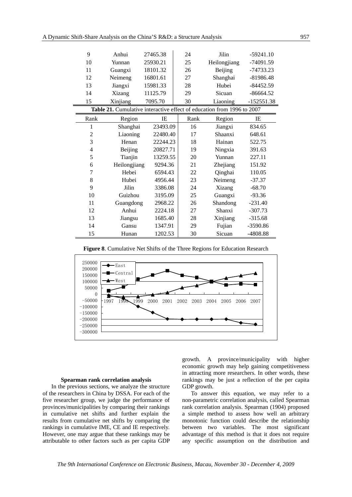| 9              | Anhui                                                                  | 27465.38<br>24 |      | Jilin        | $-59241.10$  |
|----------------|------------------------------------------------------------------------|----------------|------|--------------|--------------|
| 10             | Yunnan                                                                 | 25930.21       | 25   | Heilongjiang | -74091.59    |
| 11             | Guangxi                                                                | 18101.32       | 26   | Beijing      | -74733.23    |
| 12             | Neimeng                                                                | 16801.61       | 27   | Shanghai     | $-81986.48$  |
| 13             | Jiangxi                                                                | 15981.33       | 28   | Hubei        | $-84452.59$  |
| 14             | Xizang                                                                 | 11125.79       | 29   | Sicuan       | $-86664.52$  |
| 15             | Xinjiang                                                               | 7095.70        | 30   | Liaoning     | $-152551.38$ |
|                | Table 21. Cumulative interactive effect of education from 1996 to 2007 |                |      |              |              |
| Rank           | Region                                                                 | IE             | Rank | Region       | IE           |
| 1              | Shanghai                                                               | 23493.09       | 16   | Jiangxi      | 834.65       |
| $\overline{c}$ | Liaoning                                                               | 22480.40       | 17   | Shaanxi      | 648.61       |
| 3              | Henan                                                                  | 22244.23       | 18   | Hainan       | 522.75       |
| $\overline{4}$ | Beijing                                                                | 20827.71       | 19   | Ningxia      | 391.63       |
| 5              | Tianjin                                                                | 13259.55       | 20   | Yunnan       | 227.11       |
| 6              | Heilongjiang                                                           | 9294.36        | 21   | Zhejiang     | 151.92       |
| 7              | Hebei                                                                  | 6594.43        | 22   | Qinghai      | 110.05       |
| 8              | Hubei                                                                  | 4956.44        | 23   | Neimeng      | $-37.37$     |
| 9              | Jilin                                                                  | 3386.08        | 24   | Xizang       | $-68.70$     |
| 10             | Guizhou                                                                | 3195.09        | 25   | Guangxi      | $-93.36$     |
| 11             | Guangdong                                                              | 2968.22        | 26   | Shandong     | $-231.40$    |
| 12             | Anhui                                                                  | 2224.18        | 27   | Shanxi       | $-307.73$    |
| 13             | Jiangsu                                                                | 1685.40        | 28   | Xinjiang     | $-315.68$    |
| 14             | Gansu                                                                  | 1347.91        | 29   | Fujian       | $-3590.86$   |
| 15             | Hunan                                                                  | 1202.53        | 30   | Sicuan       | $-4808.88$   |

**Figure 8**. Cumulative Net Shifts of the Three Regions for Education Research



#### **Spearman rank correlation analysis**

In the previous sections, we analyze the structure of the researchers in China by DSSA. For each of the five researcher group, we judge the performance of provinces/municipalities by comparing their rankings in cumulative net shifts and further explain the results from cumulative net shifts by comparing the rankings in cumulative IME, CE and IE respectively. However, one may argue that these rankings may be attributable to other factors such as per capita GDP growth. A province/municipality with higher economic growth may help gaining competitiveness in attracting more researchers. In other words, these rankings may be just a reflection of the per capita GDP growth.

To answer this equation, we may refer to a non-parametric correlation analysis, called Spearman rank correlation analysis. Spearman (1904) proposed a simple method to assess how well an arbitrary monotonic function could describe the relationship between two variables. The most significant advantage of this method is that it does not require any specific assumption on the distribution and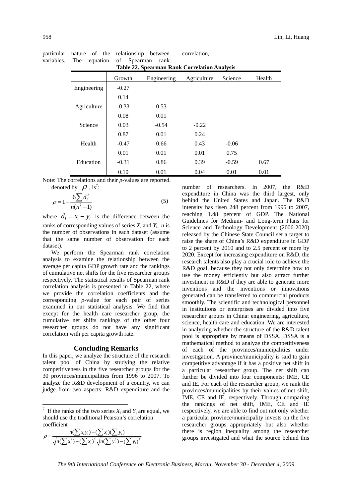| <b>Table 22. Spearman Rank Correlation Analysis</b> |         |             |             |         |        |  |
|-----------------------------------------------------|---------|-------------|-------------|---------|--------|--|
|                                                     | Growth  | Engineering | Agriculture | Science | Health |  |
| Engineering                                         | $-0.27$ |             |             |         |        |  |
|                                                     | 0.14    |             |             |         |        |  |
| Agriculture                                         | $-0.33$ | 0.53        |             |         |        |  |
|                                                     | 0.08    | 0.01        |             |         |        |  |
| Science                                             | 0.03    | $-0.54$     | $-0.22$     |         |        |  |
|                                                     | 0.87    | 0.01        | 0.24        |         |        |  |
| Health                                              | $-0.47$ | 0.66        | 0.43        | $-0.06$ |        |  |
|                                                     | 0.01    | 0.01        | 0.01        | 0.75    |        |  |
| Education                                           | $-0.31$ | 0.86        | 0.39        | $-0.59$ | 0.67   |  |
|                                                     | 0.10    | 0.01        | 0.04        | 0.01    | 0.01   |  |

particular nature of the relationship between<br>variables. The equation of Spearman rank variables. The equation of Spearman rank correlation,

Note: The correlations and their *p*-values are reported. denoted by  $\rho$ , is<sup>7</sup>:

$$
\rho = 1 - \frac{6\sum d_i^2}{n(n^2 - 1)}\tag{5}
$$

where  $d_i = x_i - y_i$  is the difference between the ranks of corresponding values of series  $X_i$  and  $Y_i$ . *n* is the number of observations in each dataset (assume that the same number of observation for each dataset).

We perform the Spearman rank correlation analysis to examine the relationship between the average per capita GDP growth rate and the rankings of cumulative net shifts for the five researcher groups respectively. The statistical results of Spearman rank correlation analysis is presented in Table 22, where we provide the correlation coefficients and the corresponding *p*-value for each pair of series examined in our statistical analysis. We find that except for the health care researcher group, the cumulative net shifts rankings of the other four researcher groups do not have any significant correlation with per capita growth rate.

### **Concluding Remarks**

In this paper, we analyze the structure of the research talent pool of China by studying the relative competitiveness in the five researcher groups for the 30 provinces/municipalities from 1996 to 2007. To analyze the R&D development of a country, we can judge from two aspects: R&D expenditure and the

$$
\rho = \frac{n(\sum x_i y_i) - (\sum x_i)(\sum y_i)}{\sqrt{n(\sum x_i^2) - (\sum x_i)^2} \sqrt{n(\sum y_i^2) - (\sum y_i)^2}}
$$

1

number of researchers. In 2007, the R&D expenditure in China was the third largest, only behind the United States and Japan. The R&D intensity has risen 248 percent from 1995 to 2007, reaching 1.48 percent of GDP. The National Guidelines for Medium- and Long-term Plans for Science and Technology Development (2006-2020) released by the Chinese State Council set a target to raise the share of China's R&D expenditure in GDP to 2 percent by 2010 and to 2.5 percent or more by 2020. Except for increasing expenditure on R&D, the research talents also play a crucial role to achieve the R&D goal, because they not only determine how to use the money efficiently but also attract further investment in R&D if they are able to generate more inventions and the inventions or innovations generated can be transferred to commercial products smoothly. The scientific and technological personnel in institutions or enterprises are divided into five researcher groups in China: engineering, agriculture, science, health care and education. We are interested in analyzing whether the structure of the R&D talent pool is appropriate by means of DSSA. DSSA is a mathematical method to analyze the competitiveness of each of the provinces/municipalities under investigation. A province/municipality is said to gain competitive advantage if it has a positive net shift in a particular researcher group. The net shift can further be divided into four components: IME, CE and IE. For each of the researcher group, we rank the provinces/municipalities by their values of net shift, IME, CE and IE, respectively. Through comparing the rankings of net shift, IME, CE and IE respectively, we are able to find out not only whether a particular province/municipality invests on the five researcher groups appropriately but also whether there is region inequality among the researcher groups investigated and what the source behind this

<sup>&</sup>lt;sup>7</sup> If the ranks of the two series  $X_i$  and  $Y_i$  are equal, we should use the traditional Pearson's correlation coefficient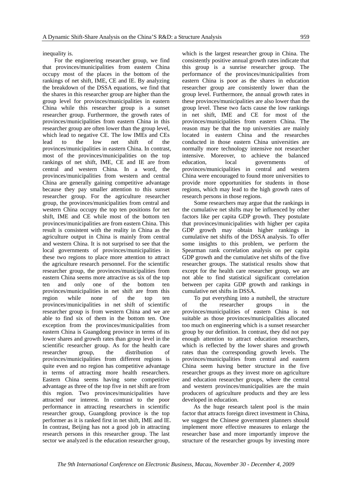inequality is.

 For the engineering researcher group, we find that provinces/municipalities from eastern China occupy most of the places in the bottom of the rankings of net shift, IME, CE and IE. By analyzing the breakdown of the DSSA equations, we find that the shares in this researcher group are higher than the group level for provinces/municipalities in eastern China while this researcher group is a sunset researcher group. Furthermore, the growth rates of provinces/municipalities from eastern China in this researcher group are often lower than the group level, which lead to negative CE. The low IMEs and CEs lead to the low net shift of the provinces/municipalities in eastern China. In contrast, most of the provinces/municipalities on the top rankings of net shift, IME, CE and IE are from central and western China. In a word, the provinces/municipalities from western and central China are generally gaining competitive advantage because they pay smaller attention to this sunset researcher group. For the agriculture researcher group, the provinces/municipalities from central and western China occupy the top ten positions for net shift, IME and CE while most of the bottom ten provinces/municipalities are from eastern China. This result is consistent with the reality in China as the agriculture output in China is mainly from central and western China. It is not surprised to see that the local governments of provinces/municipalities in these two regions to place more attention to attract the agriculture research personnel. For the scientific researcher group, the provinces/municipalities from eastern China seems more attractive as six of the top ten and only one of the bottom ten provinces/municipalities in net shift are from this region while none of the top ten provinces/municipalities in net shift of scientific researcher group is from western China and we are able to find six of them in the bottom ten. One exception from the provinces/municipalities from eastern China is Guangdong province in terms of its lower shares and growth rates than group level in the scientific researcher group. As for the health care researcher group, the distribution of provinces/municipalities from different regions is quite even and no region has competitive advantage in terms of attracting more health researchers. Eastern China seems having some competitive advantage as three of the top five in net shift are from this region. Two provinces/municipalities have attracted our interest. In contrast to the poor performance in attracting researchers in scientific researcher group, Guangdong province is the top performer as it is ranked first in net shift, IME and IE. In contrast, Beijing has not a good job in attracting research persons in this researcher group. The last sector we analyzed is the education researcher group,

which is the largest researcher group in China. The consistently positive annual growth rates indicate that this group is a sunrise researcher group. The performance of the provinces/municipalities from eastern China is poor as the shares in education researcher group are consistently lower than the group level. Furthermore, the annual growth rates in these provinces/municipalities are also lower than the group level. These two facts cause the low rankings in net shift, IME and CE for most of the provinces/municipalities from eastern China. The reason may be that the top universities are mainly located in eastern China and the researches conducted in those eastern China universities are normally more technology intensive not researcher intensive. Moreover, to achieve the balanced education, local governments of provinces/municipalities in central and western China were encouraged to found more universities to provide more opportunities for students in those regions, which may lead to the high growth rates of research persons in those regions.

 Some researchers may argue that the rankings in the cumulative net shifts may be influenced by other factors like per capita GDP growth. They postulate that provinces/municipalities with higher per capita GDP growth may obtain higher rankings in cumulative net shifts of the DSSA analysis. To offer some insights to this problem, we perform the Spearman rank correlation analysis on per capita GDP growth and the cumulative net shifts of the five researcher groups. The statistical results show that except for the health care researcher group, we are not able to find statistical significant correlation between per capita GDP growth and rankings in cumulative net shifts in DSSA.

 To put everything into a nutshell, the structure of the researcher groups in the provinces/municipalities of eastern China is not suitable as those provinces/municipalities allocated too much on engineering which is a sunset researcher group by our definition. In contrast, they did not pay enough attention to attract education researchers, which is reflected by the lower shares and growth rates than the corresponding growth levels. The provinces/municipalities from central and eastern China seem having better structure in the five researcher groups as they invest more on agriculture and education researcher groups, where the central and western provinces/municipalities are the main producers of agriculture products and they are less developed in education.

As the huge research talent pool is the main factor that attracts foreign direct investment in China, we suggest the Chinese government planners should implement more effective measures to enlarge the researcher base and more importantly improve the structure of the researcher groups by investing more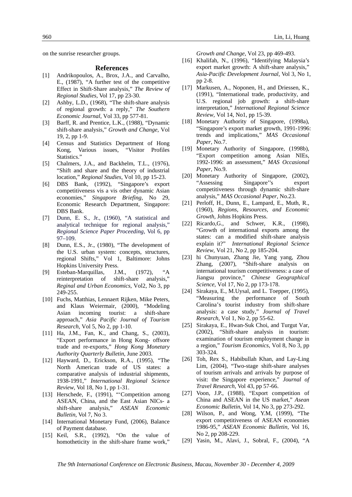on the sunrise researcher groups.

### **References**

- [1] Andrikopoulos, A., Brox, J.A., and Carvalho, E., (1987), "A further test of the competitive Effect in Shift-Share analysis," *The Review of Regional Studies*, Vol 17, pp 23-30.
- [2] Ashby, L.D., (1968), "The shift-share analysis of regional growth: a reply," *The Southern Economic Journal*, Vol 33, pp 577-81.
- [3] Barff, R. and Prentice, L.K., (1988), "Dynamic shift-share analysis," *Growth and Change*, Vol 19, 2, pp 1-9.
- [4] Census and Statistics Department of Hong Kong, Various issues, "Visitor Profiles Statistics."
- [5] Chalmers, J.A., and Backhelm, T.L., (1976), "Shift and share and the theory of industrial location," *Regional Studies*, Vol 10, pp 15-23.
- [6] DBS Bank, (1992), "Singapore's export competitiveness vis a vis other dynamic Asian economies," *Singapore Briefing*, No 29, Economic Research Department, Singapore: DBS Bank.
- [7] Dunn, E. S., Jr., (1960), "A statistical and analytical technique for regional analysis," *Regional Science Paper Proceeding*, Vol 6, pp 97–109.
- [8] Dunn, E.S., Jr., (1980), "The development of the U.S. urban system: concepts, structures, regional Shifts," Vol 1, Baltimore: Johns Hopkins University Press.
- [9] Esteban-Marquillas, J.M., (1972), "A reinterpretation of shift-share analysis," *Reginal and Urban Economics*, Vol2, No 3, pp 249-255.
- [10] Fuchs, Matthias, Lennaert Rijken, Mike Peters, and Klaus Weiermair, (2000), "Modeling Asian incoming tourist: a shift-share approach," *Asia Pacific Journal of Tourism Research*, Vol 5, No 2, pp 1-10.
- [11] Ha, J.M., Fan, K., and Chang, S., (2003), "Export performance in Hong Kong- offsore trade and re-exports," *Hong Kong Monetary Authority Quarterly Bulletin*, June 2003.
- [12] Hayward, D., Erickson, R.A., (1995), "The North American trade of US states: a comparative analysis of industrial shipments, 1938-1991," *International Regional Science Review*, Vol 18, No 1, pp 1-31.
- [13] Herschede, F., (1991), "'Competition among ASEAN, China, and the East Asian NICs- a shift-share analysis," *ASEAN Economic Bulletin*, Vol 7, No 3.
- [14] International Monetary Fund, (2006), Balance of Payment database.
- [15] Keil, S.R., (1992), "On the value of homotheticity in the shift-share frame work,"

*Growth and Change*, Vol 23, pp 469-493.

- [16] Khalifah, N., (1996), "Identifying Malaysia's export market growth: A shift-share analysis," *Asia-Pacific Development Journal*, Vol 3, No 1, pp 2-8.
- [17] Markusen, A., Noponen, H., and Driessen, K., (1991), "International trade, productivity, and U.S. regional job growth: a shift-share interpretation," *International Regional Science Review,* Vol 14, No1, pp 15-39.
- [18] Monetary Authority of Singapore, (1998a), "Singapore's export market growth, 1991-1996: trends and implications," *MAS Occasional Paper*, No.7.
- [19] Monetary Authority of Singapore, (1998b), "Export competition among Asian NIEs, 1992-1996: an assessment," *MAS Occasional Paper*, No.9.
- [20] Monetary Authority of Singapore, (2002), "Assessing Singapore''s export competitiveness through dynamic shift-share analysis," *MAS Occasional Paper*, No.23.
- [21] Perloff, H., Dunn, E., Lampard, E., Muth, R., (1960), *Regions, Resources, and Economic Growth*, Johns Hopkins Press.
- [22] Ricardo, G., and Schwer, K.R., (1998), "Growth of international exports among the states: can a modified shift-share analysis explain it?" *International Regional Science Review*, Vol 21, No 2, pp 185-204.
- [23] hi Chunyuan, Zhang Jie, Yang yang, Zhou Zhang, (2007), "Shift-share analysis on international tourism competitiveness: a case of Jiangsu province," *Chinese Geographical Science*, Vol 17, No 2, pp 173-178.
- [24] Sirakaya, E., M.Uysal, and L. Toepper, (1995), "Measuring the performance of South Carolina's tourist industry from shift-share analysis: a case study," *Journal of Travel Research*, Vol 1, No 2, pp 55-62.
- [25] Sirakaya, E., Hwan-Suk Choi, and Turgut Var, (2002), "Shift-share analysis in tourism: examination of tourism employment change in a region," *Tourism Economics*, Vol 8, No 3, pp 303-324.
- [26] Toh, Rex S., Habibullah Khan, and Lay-Ling Lim, (2004), "Two-stage shift-share analyses of tourism arrivals and arrivals by purpose of visit: the Singapore experience," *Journal of Travel Research*, Vol 43, pp 57-66.
- [27] Voon, J.P., (1988), "Export competition of China and ASEAN in the US market," *Asean Economic Bulletin*, Vol 14, No 3, pp 273-292.
- [28] Wilson, P., and Wong, Y.M, (1999), "The export competitiveness of ASEAN economies 1986-95," *ASEAN Economic Bulletin*, Vol 16, No 2, pp 208-229.
- [29] Yasin, M., Alavi, J., Sobral, F., (2004), "A